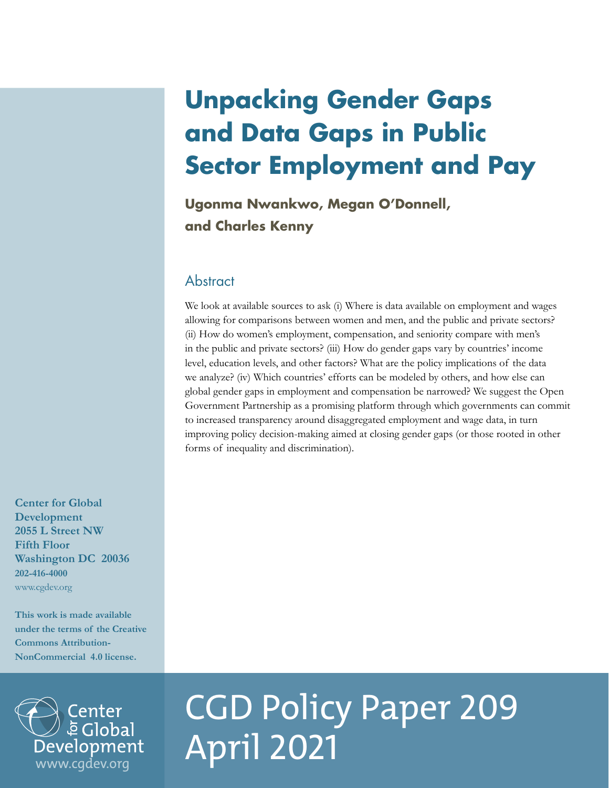## **Unpacking Gender Gaps and Data Gaps in Public Sector Employment and Pay**

**Ugonma Nwankwo, Megan O'Donnell, and Charles Kenny**

## **Abstract**

We look at available sources to ask (i) Where is data available on employment and wages allowing for comparisons between women and men, and the public and private sectors? (ii) How do women's employment, compensation, and seniority compare with men's in the public and private sectors? (iii) How do gender gaps vary by countries' income level, education levels, and other factors? What are the policy implications of the data we analyze? (iv) Which countries' efforts can be modeled by others, and how else can global gender gaps in employment and compensation be narrowed? We suggest the Open Government Partnership as a promising platform through which governments can commit to increased transparency around disaggregated employment and wage data, in turn improving policy decision-making aimed at closing gender gaps (or those rooted in other forms of inequality and discrimination).

**Center for Global Development 2055 L Street NW Fifth Floor Washington DC 20036 202-416-4000**  [www.cgdev.org](http://www.cgdev.org)

**This work is made available under the terms of the Creative Commons Attribution-NonCommercial 4.0 license.**



# CGD Policy Paper 209 April 2021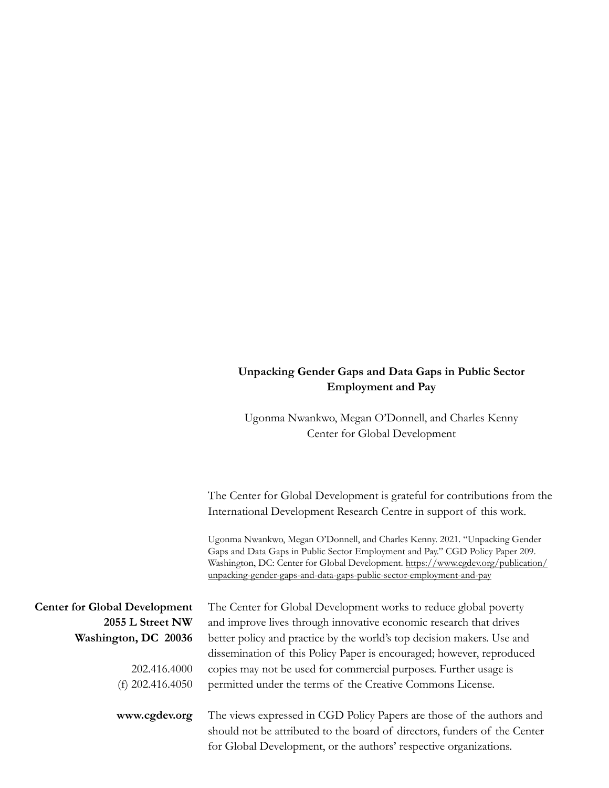## **Unpacking Gender Gaps and Data Gaps in Public Sector Employment and Pay**

Ugonma Nwankwo, Megan O'Donnell, and Charles Kenny Center for Global Development

The Center for Global Development is grateful for contributions from the International Development Research Centre in support of this work.

Ugonma Nwankwo, Megan O'Donnell, and Charles Kenny. 2021. "Unpacking Gender Gaps and Data Gaps in Public Sector Employment and Pay." CGD Policy Paper 209. Washington, DC: Center for Global Development. [https://www.cgdev.org/publication/](https://www.cgdev.org/publication/unpacking-gender-gaps-and-data-gaps-public-sector-employment-and-pay) [unpacking-gender-gaps-and-data-gaps-public-sector-employment-and-pay](https://www.cgdev.org/publication/unpacking-gender-gaps-and-data-gaps-public-sector-employment-and-pay)

| <b>Center for Global Development</b> | The Center for Global Development works to reduce global poverty          |
|--------------------------------------|---------------------------------------------------------------------------|
| 2055 L Street NW                     | and improve lives through innovative economic research that drives        |
| Washington, DC 20036                 | better policy and practice by the world's top decision makers. Use and    |
|                                      | dissemination of this Policy Paper is encouraged; however, reproduced     |
| 202.416.4000                         | copies may not be used for commercial purposes. Further usage is          |
| (f) $202.416.4050$                   | permitted under the terms of the Creative Commons License.                |
|                                      |                                                                           |
| www.cgdev.org                        | The views expressed in CGD Policy Papers are those of the authors and     |
|                                      | should not be attributed to the board of directors, funders of the Center |
|                                      | for Global Development, or the authors' respective organizations.         |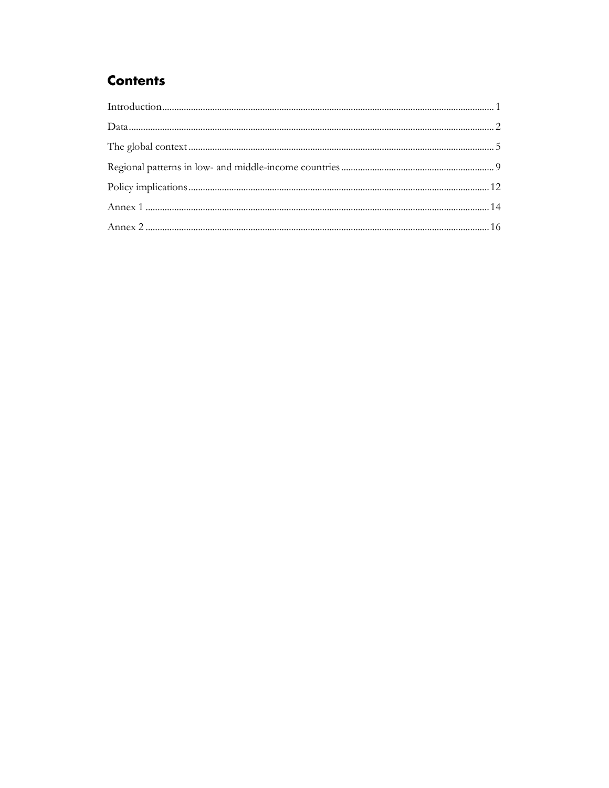## **Contents**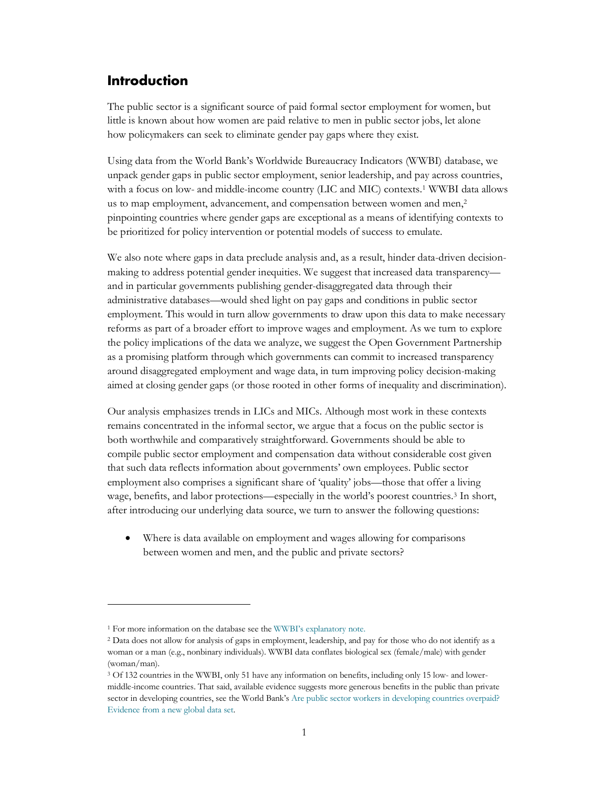## <span id="page-3-0"></span>**Introduction**

The public sector is a significant source of paid formal sector employment for women, but little is known about how women are paid relative to men in public sector jobs, let alone how policymakers can seek to eliminate gender pay gaps where they exist.

Using data from the World Bank's Worldwide Bureaucracy Indicators (WWBI) database, we unpack gender gaps in public sector employment, senior leadership, and pay across countries, with a focus on low- and middle-income country (LIC and MIC) contexts.[1](#page-3-1) WWBI data allows us to map employment, advancement, and compensation between women and men,<sup>2</sup> pinpointing countries where gender gaps are exceptional as a means of identifying contexts to be prioritized for policy intervention or potential models of success to emulate.

We also note where gaps in data preclude analysis and, as a result, hinder data-driven decisionmaking to address potential gender inequities. We suggest that increased data transparency and in particular governments publishing gender-disaggregated data through their administrative databases—would shed light on pay gaps and conditions in public sector employment. This would in turn allow governments to draw upon this data to make necessary reforms as part of a broader effort to improve wages and employment. As we turn to explore the policy implications of the data we analyze, we suggest the Open Government Partnership as a promising platform through which governments can commit to increased transparency around disaggregated employment and wage data, in turn improving policy decision-making aimed at closing gender gaps (or those rooted in other forms of inequality and discrimination).

Our analysis emphasizes trends in LICs and MICs. Although most work in these contexts remains concentrated in the informal sector, we argue that a focus on the public sector is both worthwhile and comparatively straightforward. Governments should be able to compile public sector employment and compensation data without considerable cost given that such data reflects information about governments' own employees. Public sector employment also comprises a significant share of 'quality' jobs—those that offer a living wage, benefits, and labor protections—especially in the world's poorest countries.<sup>3</sup> In short, after introducing our underlying data source, we turn to answer the following questions:

Where is data available on employment and wages allowing for comparisons between women and men, and the public and private sectors?

<span id="page-3-1"></span><sup>1</sup> For more information on the database see th[e WWBI's explanatory note.](https://datacatalog.worldbank.org/dataset/worldwide-bureaucracy-indicators) 

<span id="page-3-2"></span><sup>2</sup> Data does not allow for analysis of gaps in employment, leadership, and pay for those who do not identify as a woman or a man (e.g., nonbinary individuals). WWBI data conflates biological sex (female/male) with gender (woman/man).

<span id="page-3-3"></span><sup>3</sup> Of 132 countries in the WWBI, only 51 have any information on benefits, including only 15 low- and lowermiddle-income countries. That said, available evidence suggests more generous benefits in the public than private sector in developing countries, see the World Bank's Are public sector workers in developing countries overpaid? [Evidence from a new global data set.](https://www.sciencedirect.com/science/article/abs/pii/S0305750X19303869)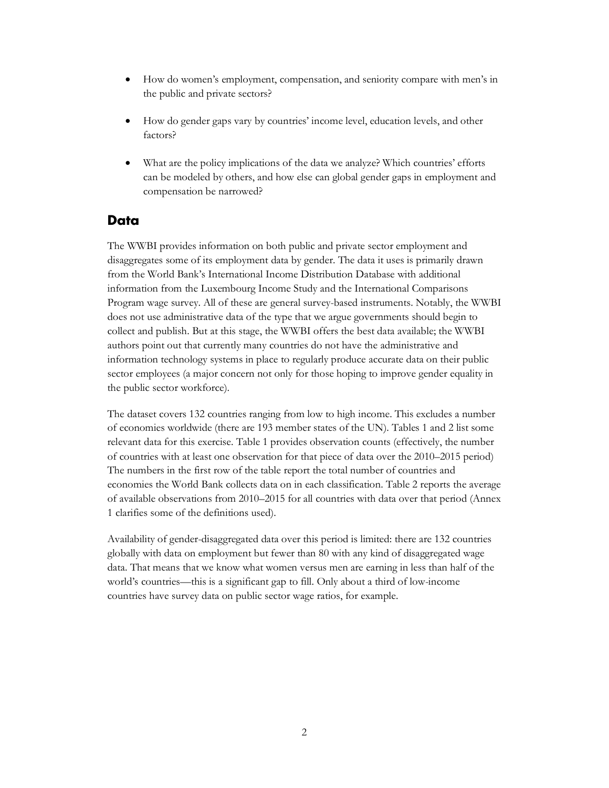- How do women's employment, compensation, and seniority compare with men's in the public and private sectors?
- How do gender gaps vary by countries' income level, education levels, and other factors?
- What are the policy implications of the data we analyze? Which countries' efforts can be modeled by others, and how else can global gender gaps in employment and compensation be narrowed?

### <span id="page-4-0"></span>**Data**

The WWBI provides information on both public and private sector employment and disaggregates some of its employment data by gender. The data it uses is primarily drawn from the World Bank's International Income Distribution Database with additional information from the Luxembourg Income Study and the International Comparisons Program wage survey. All of these are general survey-based instruments. Notably, the WWBI does not use administrative data of the type that we argue governments should begin to collect and publish. But at this stage, the WWBI offers the best data available; the WWBI authors point out that currently many countries do not have the administrative and information technology systems in place to regularly produce accurate data on their public sector employees (a major concern not only for those hoping to improve gender equality in the public sector workforce).

The dataset covers 132 countries ranging from low to high income. This excludes a number of economies worldwide (there are 193 member states of the UN). Tables 1 and 2 list some relevant data for this exercise. Table 1 provides observation counts (effectively, the number of countries with at least one observation for that piece of data over the 2010–2015 period) The numbers in the first row of the table report the total number of countries and economies the World Bank collects data on in each classification. Table 2 reports the average of available observations from 2010–2015 for all countries with data over that period (Annex 1 clarifies some of the definitions used).

Availability of gender-disaggregated data over this period is limited: there are 132 countries globally with data on employment but fewer than 80 with any kind of disaggregated wage data. That means that we know what women versus men are earning in less than half of the world's countries—this is a significant gap to fill. Only about a third of low-income countries have survey data on public sector wage ratios, for example.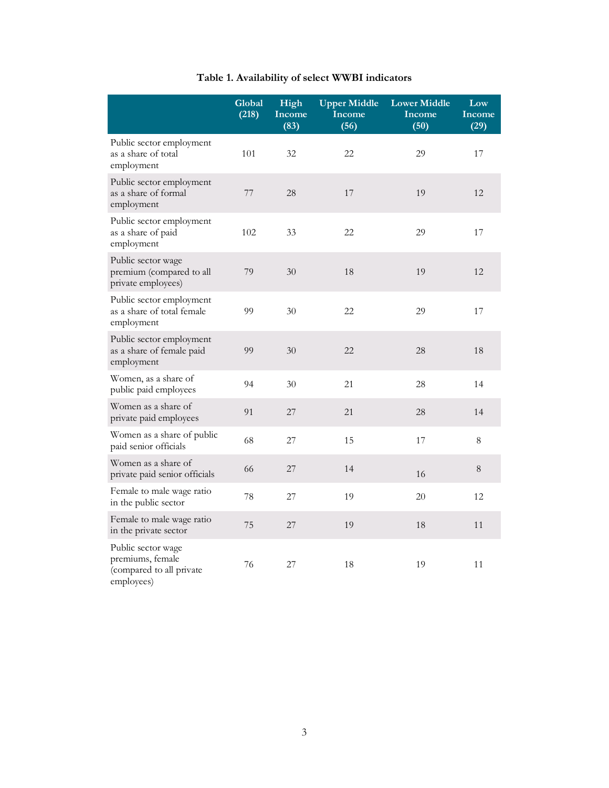|                                                                                  | Global<br>(218) | High<br>Income<br>(83) | <b>Upper Middle</b><br>Income<br>(56) | <b>Lower Middle</b><br>Income<br>(50) | Low<br>Income<br>(29) |
|----------------------------------------------------------------------------------|-----------------|------------------------|---------------------------------------|---------------------------------------|-----------------------|
| Public sector employment<br>as a share of total<br>employment                    | 101             | 32                     | 22                                    | 29                                    | 17                    |
| Public sector employment<br>as a share of formal<br>employment                   | 77              | 28                     | 17                                    | 19                                    | 12                    |
| Public sector employment<br>as a share of paid<br>employment                     | 102             | 33                     | 22                                    | 29                                    | 17                    |
| Public sector wage<br>premium (compared to all<br>private employees)             | 79              | 30                     | 18                                    | 19                                    | 12                    |
| Public sector employment<br>as a share of total female<br>employment             | 99              | 30                     | 22                                    | 29                                    | 17                    |
| Public sector employment<br>as a share of female paid<br>employment              | 99              | 30                     | 22                                    | 28                                    | 18                    |
| Women, as a share of<br>public paid employees                                    | 94              | 30                     | 21                                    | 28                                    | 14                    |
| Women as a share of<br>private paid employees                                    | 91              | 27                     | 21                                    | 28                                    | 14                    |
| Women as a share of public<br>paid senior officials                              | 68              | 27                     | 15                                    | 17                                    | $8\,$                 |
| Women as a share of<br>private paid senior officials                             | 66              | 27                     | 14                                    | 16                                    | 8                     |
| Female to male wage ratio<br>in the public sector                                | 78              | 27                     | 19                                    | 20                                    | 12                    |
| Female to male wage ratio<br>in the private sector                               | 75              | 27                     | 19                                    | 18                                    | 11                    |
| Public sector wage<br>premiums, female<br>(compared to all private<br>employees) | 76              | 27                     | 18                                    | 19                                    | 11                    |

## **Table 1. Availability of select WWBI indicators**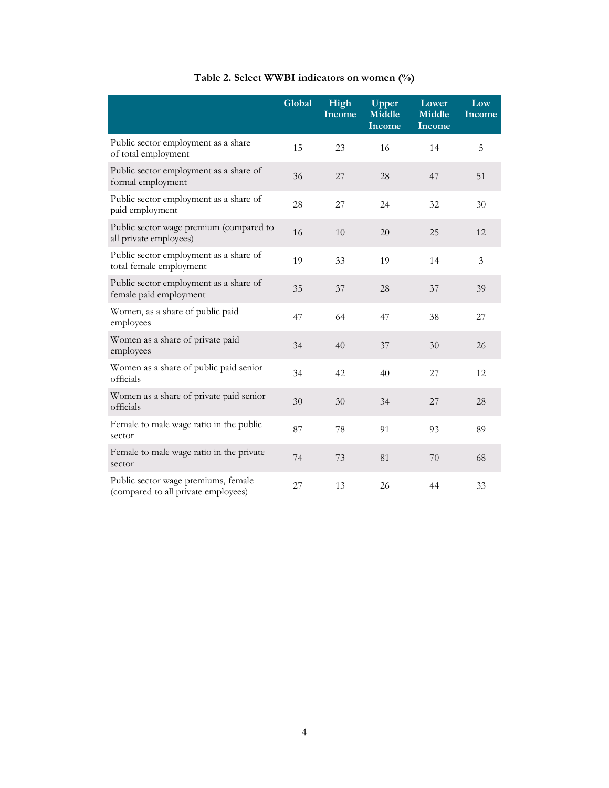|                                                                            | Global | High<br>Income | Upper<br><b>Middle</b><br>Income | Lower<br><b>Middle</b><br><b>Income</b> | Low<br>Income  |
|----------------------------------------------------------------------------|--------|----------------|----------------------------------|-----------------------------------------|----------------|
| Public sector employment as a share<br>of total employment                 | 15     | 23             | 16                               | 14                                      | 5              |
| Public sector employment as a share of<br>formal employment                | 36     | 27             | 28                               | 47                                      | 51             |
| Public sector employment as a share of<br>paid employment                  | 28     | 27             | 24                               | 32                                      | 30             |
| Public sector wage premium (compared to<br>all private employees)          | 16     | 10             | 20                               | 25                                      | 12             |
| Public sector employment as a share of<br>total female employment          | 19     | 33             | 19                               | 14                                      | $\mathfrak{Z}$ |
| Public sector employment as a share of<br>female paid employment           | 35     | 37             | 28                               | 37                                      | 39             |
| Women, as a share of public paid<br>employees                              | 47     | 64             | 47                               | 38                                      | 27             |
| Women as a share of private paid<br>employees                              | 34     | 40             | 37                               | 30                                      | 26             |
| Women as a share of public paid senior<br>officials                        | 34     | 42             | 40                               | 27                                      | 12             |
| Women as a share of private paid senior<br>officials                       | 30     | 30             | 34                               | 27                                      | 28             |
| Female to male wage ratio in the public<br>sector                          | 87     | 78             | 91                               | 93                                      | 89             |
| Female to male wage ratio in the private<br>sector                         | 74     | 73             | 81                               | 70                                      | 68             |
| Public sector wage premiums, female<br>(compared to all private employees) | 27     | 13             | 26                               | 44                                      | 33             |

## **Table 2. Select WWBI indicators on women (%)**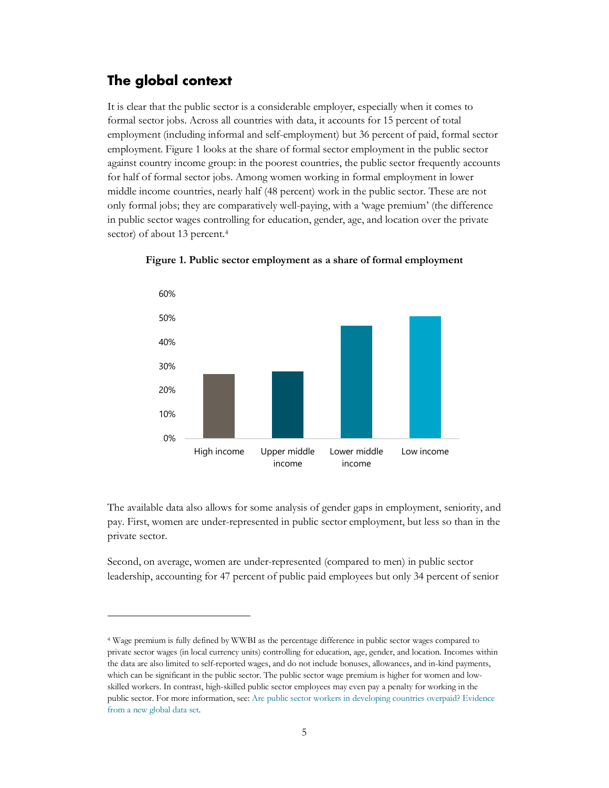## <span id="page-7-0"></span>**The global context**

It is clear that the public sector is a considerable employer, especially when it comes to formal sector jobs. Across all countries with data, it accounts for 15 percent of total employment (including informal and self-employment) but 36 percent of paid, formal sector employment. Figure 1 looks at the share of formal sector employment in the public sector against country income group: in the poorest countries, the public sector frequently accounts for half of formal sector jobs. Among women working in formal employment in lower middle income countries, nearly half (48 percent) work in the public sector. These are not only formal jobs; they are comparatively well-paying, with a 'wage premium' (the difference in public sector wages controlling for education, gender, age, and location over the private sector) of about 13 percent.<sup>4</sup>



**Figure 1. Public sector employment as a share of formal employment**

The available data also allows for some analysis of gender gaps in employment, seniority, and pay. First, women are under-represented in public sector employment, but less so than in the private sector.

Second, on average, women are under-represented (compared to men) in public sector leadership, accounting for 47 percent of public paid employees but only 34 percent of senior

<span id="page-7-1"></span><sup>4</sup> Wage premium is fully defined by WWBI as the percentage difference in public sector wages compared to private sector wages (in local currency units) controlling for education, age, gender, and location. Incomes within the data are also limited to self-reported wages, and do not include bonuses, allowances, and in-kind payments, which can be significant in the public sector. The public sector wage premium is higher for women and lowskilled workers. In contrast, high-skilled public sector employees may even pay a penalty for working in the public sector. For more information, see: [Are public sector workers in developing countries overpaid? Evidence](https://www.sciencedirect.com/science/article/abs/pii/S0305750X19303869)  [from a new global data set.](https://www.sciencedirect.com/science/article/abs/pii/S0305750X19303869)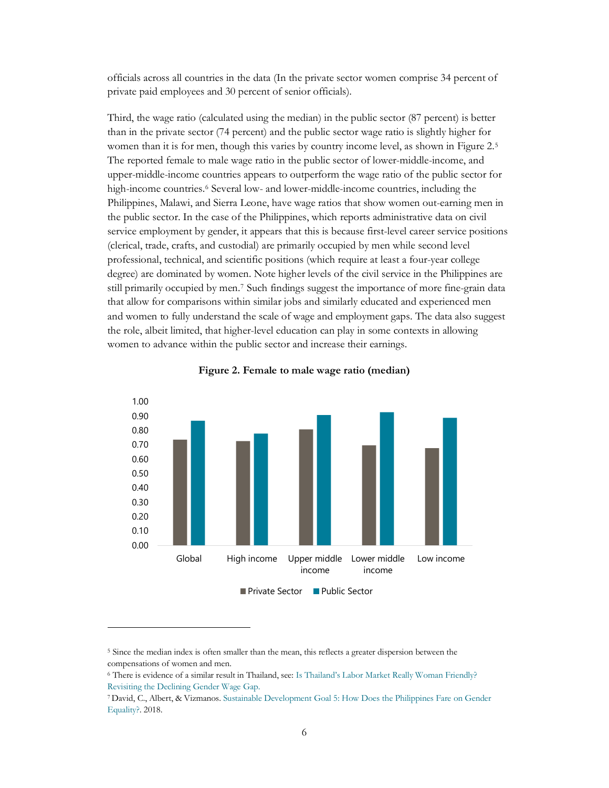officials across all countries in the data (In the private sector women comprise 34 percent of private paid employees and 30 percent of senior officials).

Third, the wage ratio (calculated using the median) in the public sector (87 percent) is better than in the private sector (74 percent) and the public sector wage ratio is slightly higher for women than it is for men, though this varies by country income level, as shown in Figure 2.<sup>[5](#page-8-0)</sup> The reported female to male wage ratio in the public sector of lower-middle-income, and upper-middle-income countries appears to outperform the wage ratio of the public sector for high-income countries.<sup>6</sup> Several low- and lower-middle-income countries, including the Philippines, Malawi, and Sierra Leone, have wage ratios that show women out-earning men in the public sector. In the case of the Philippines, which reports administrative data on civil service employment by gender, it appears that this is because first-level career service positions (clerical, trade, crafts, and custodial) are primarily occupied by men while second level professional, technical, and scientific positions (which require at least a four-year college degree) are dominated by women. Note higher levels of the civil service in the Philippines are still primarily occupied by men.[7](#page-8-2) Such findings suggest the importance of more fine-grain data that allow for comparisons within similar jobs and similarly educated and experienced men and women to fully understand the scale of wage and employment gaps. The data also suggest the role, albeit limited, that higher-level education can play in some contexts in allowing women to advance within the public sector and increase their earnings.





<span id="page-8-0"></span><sup>5</sup> Since the median index is often smaller than the mean, this reflects a greater dispersion between the compensations of women and men.

<span id="page-8-1"></span><sup>6</sup> There is evidence of a similar result in Thailand, see[: Is Thailand's Labor Market Really Woman Friendly?](https://www.pier.or.th/wp-content/uploads/2017/08/workshop2017_Labor_Jessica.pdf)  [Revisiting the Declining Gender Wage Gap.](https://www.pier.or.th/wp-content/uploads/2017/08/workshop2017_Labor_Jessica.pdf)

<span id="page-8-2"></span><sup>7</sup> David, C., Albert, & Vizmanos[. Sustainable Development Goal 5: How Does the Philippines Fare on Gender](https://pidswebs.pids.gov.ph/CDN/PUBLICATIONS/pidsdps1745.pdf)  [Equality?.](https://pidswebs.pids.gov.ph/CDN/PUBLICATIONS/pidsdps1745.pdf) 2018.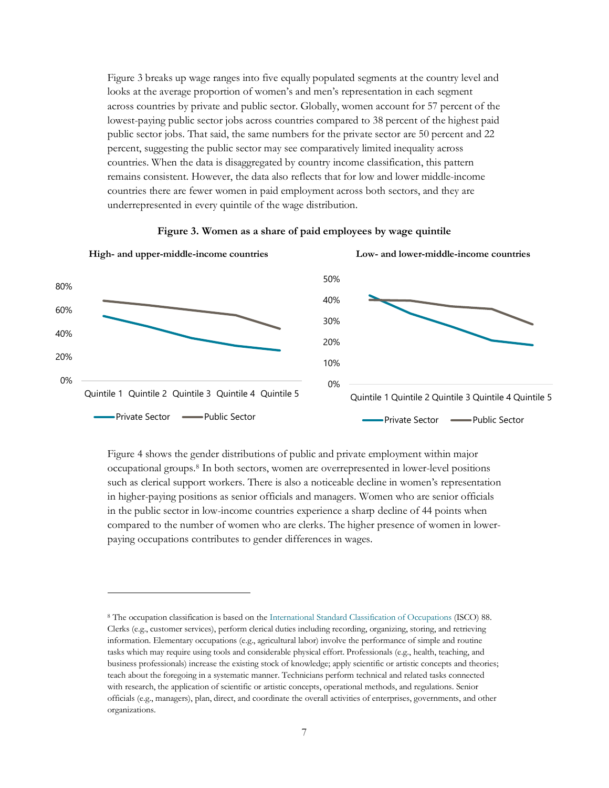Figure 3 breaks up wage ranges into five equally populated segments at the country level and looks at the average proportion of women's and men's representation in each segment across countries by private and public sector. Globally, women account for 57 percent of the lowest-paying public sector jobs across countries compared to 38 percent of the highest paid public sector jobs. That said, the same numbers for the private sector are 50 percent and 22 percent, suggesting the public sector may see comparatively limited inequality across countries. When the data is disaggregated by country income classification, this pattern remains consistent. However, the data also reflects that for low and lower middle-income countries there are fewer women in paid employment across both sectors, and they are underrepresented in every quintile of the wage distribution.



#### **Figure 3. Women as a share of paid employees by wage quintile**

Figure 4 shows the gender distributions of public and private employment within major occupational groups.[8](#page-9-0) In both sectors, women are overrepresented in lower-level positions such as clerical support workers. There is also a noticeable decline in women's representation in higher-paying positions as senior officials and managers. Women who are senior officials in the public sector in low-income countries experience a sharp decline of 44 points when compared to the number of women who are clerks. The higher presence of women in lowerpaying occupations contributes to gender differences in wages.

<span id="page-9-0"></span><sup>8</sup> The occupation classification is based on the [International Standard Classification of Occupations](https://www.ilo.org/wcmsp5/groups/public/---dgreports/---dcomm/---publ/documents/publication/wcms_172572.pdf) (ISCO) 88. Clerks (e.g., customer services), perform clerical duties including recording, organizing, storing, and retrieving information. Elementary occupations (e.g., agricultural labor) involve the performance of simple and routine tasks which may require using tools and considerable physical effort. Professionals (e.g., health, teaching, and business professionals) increase the existing stock of knowledge; apply scientific or artistic concepts and theories; teach about the foregoing in a systematic manner. Technicians perform technical and related tasks connected with research, the application of scientific or artistic concepts, operational methods, and regulations. Senior officials (e.g., managers), plan, direct, and coordinate the overall activities of enterprises, governments, and other organizations.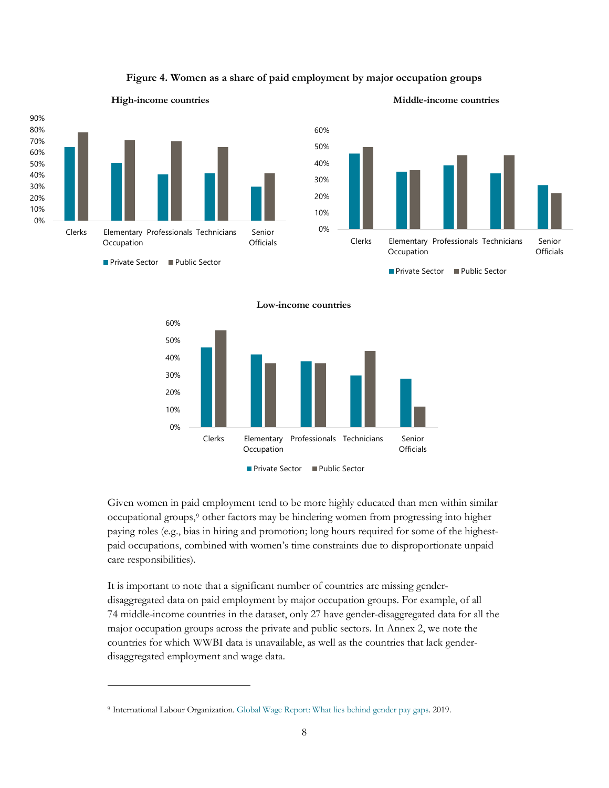

#### **Figure 4. Women as a share of paid employment by major occupation groups**



**Low-income countries**



Given women in paid employment tend to be more highly educated than men within similar occupational groups,[9](#page-10-0) other factors may be hindering women from progressing into higher paying roles (e.g., bias in hiring and promotion; long hours required for some of the highestpaid occupations, combined with women's time constraints due to disproportionate unpaid care responsibilities).

It is important to note that a significant number of countries are missing genderdisaggregated data on paid employment by major occupation groups. For example, of all 74 middle-income countries in the dataset, only 27 have gender-disaggregated data for all the major occupation groups across the private and public sectors. In Annex 2, we note the countries for which WWBI data is unavailable, as well as the countries that lack genderdisaggregated employment and wage data.

<span id="page-10-0"></span><sup>9</sup> International Labour Organization. [Global Wage Report: What lies behind gender pay gaps.](https://www.ilo.org/wcmsp5/groups/public/---dgreports/---dcomm/---publ/documents/publication/wcms_650553.pdf) 2019.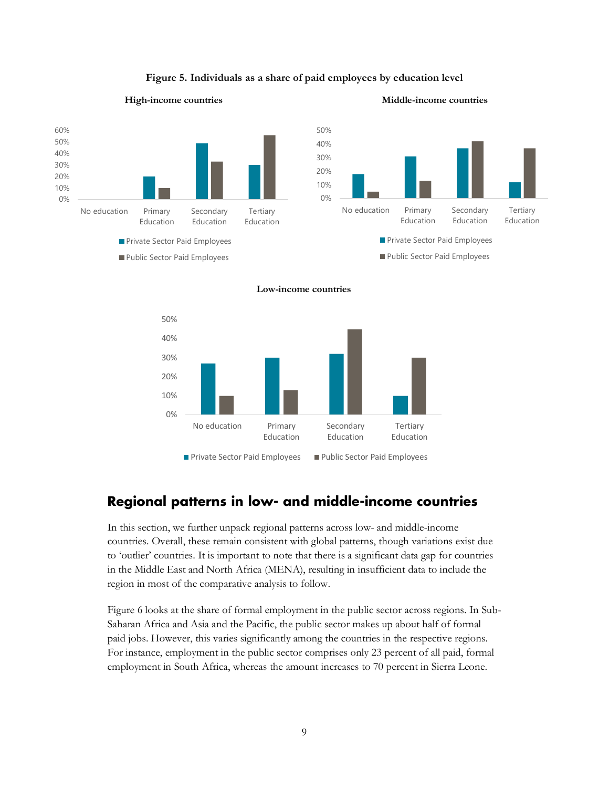

#### **Figure 5. Individuals as a share of paid employees by education level**





## <span id="page-11-0"></span>**Regional patterns in low- and middle-income countries**

In this section, we further unpack regional patterns across low- and middle-income countries. Overall, these remain consistent with global patterns, though variations exist due to 'outlier' countries. It is important to note that there is a significant data gap for countries in the Middle East and North Africa (MENA), resulting in insufficient data to include the region in most of the comparative analysis to follow.

Figure 6 looks at the share of formal employment in the public sector across regions. In Sub-Saharan Africa and Asia and the Pacific, the public sector makes up about half of formal paid jobs. However, this varies significantly among the countries in the respective regions. For instance, employment in the public sector comprises only 23 percent of all paid, formal employment in South Africa, whereas the amount increases to 70 percent in Sierra Leone.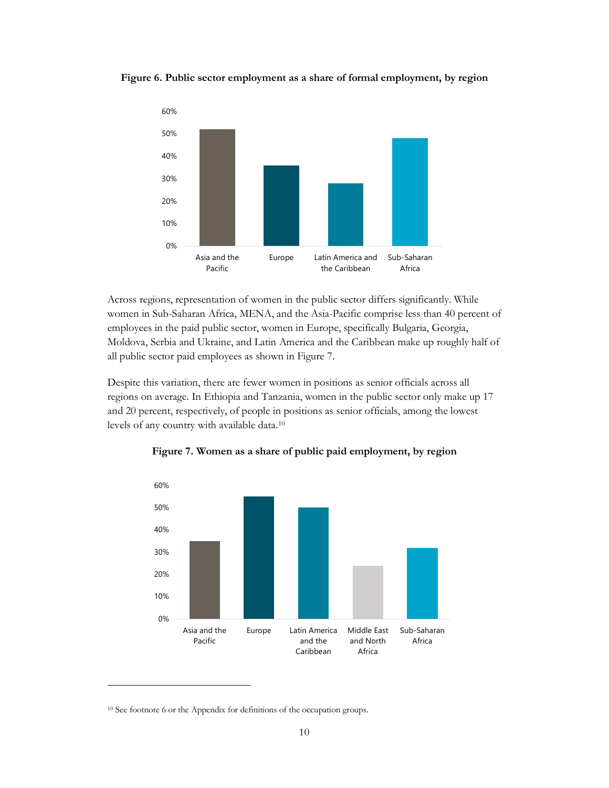**Figure 6. Public sector employment as a share of formal employment, by region**



Across regions, representation of women in the public sector differs significantly. While women in Sub-Saharan Africa, MENA, and the Asia-Pacific comprise less than 40 percent of employees in the paid public sector, women in Europe, specifically Bulgaria, Georgia, Moldova, Serbia and Ukraine, and Latin America and the Caribbean make up roughly half of all public sector paid employees as shown in Figure 7.

Despite this variation, there are fewer women in positions as senior officials across all regions on average. In Ethiopia and Tanzania, women in the public sector only make up 17 and 20 percent, respectively, of people in positions as senior officials, among the lowest levels of any country with available data.[10](#page-12-0)



**Figure 7. Women as a share of public paid employment, by region**

<span id="page-12-0"></span><sup>&</sup>lt;sup>10</sup> See footnote 6 or the Appendix for definitions of the occupation groups.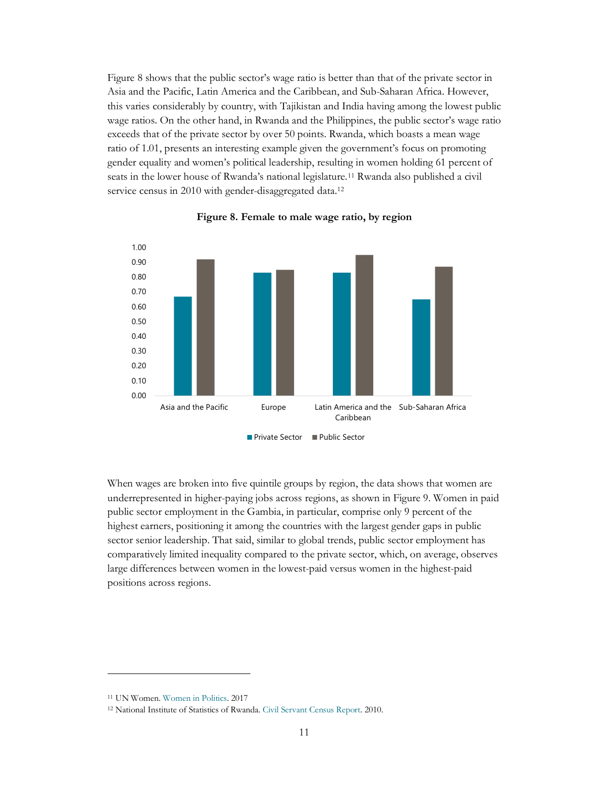Figure 8 shows that the public sector's wage ratio is better than that of the private sector in Asia and the Pacific, Latin America and the Caribbean, and Sub-Saharan Africa. However, this varies considerably by country, with Tajikistan and India having among the lowest public wage ratios. On the other hand, in Rwanda and the Philippines, the public sector's wage ratio exceeds that of the private sector by over 50 points. Rwanda, which boasts a mean wage ratio of 1.01, presents an interesting example given the government's focus on promoting gender equality and women's political leadership, resulting in women holding 61 percent of seats in the lower house of Rwanda's national legislature.[11](#page-13-0) Rwanda also published a civil service census in 2010 with gender-disaggregated data.<sup>12</sup>





When wages are broken into five quintile groups by region, the data shows that women are underrepresented in higher-paying jobs across regions, as shown in Figure 9. Women in paid public sector employment in the Gambia, in particular, comprise only 9 percent of the highest earners, positioning it among the countries with the largest gender gaps in public sector senior leadership. That said, similar to global trends, public sector employment has comparatively limited inequality compared to the private sector, which, on average, observes large differences between women in the lowest-paid versus women in the highest-paid positions across regions.

<span id="page-13-0"></span><sup>11</sup> UN Women[. Women in Politics.](https://www.unwomen.org/-/media/headquarters/attachments/sections/library/publications/2017/femmesenpolitique_2017_english_web.pdf?la=en&vs=1123) 2017

<span id="page-13-1"></span><sup>12</sup> National Institute of Statistics of Rwanda. [Civil Servant Census Report.](http://www.statistics.gov.rw/publication/civil-servant-census-2010-report) 2010.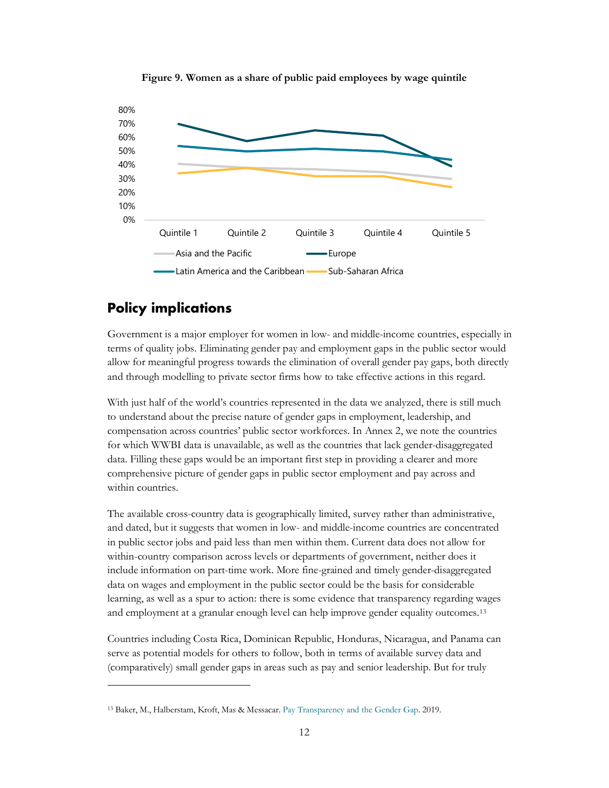

**Figure 9. Women as a share of public paid employees by wage quintile**

## <span id="page-14-0"></span>**Policy implications**

Government is a major employer for women in low- and middle-income countries, especially in terms of quality jobs. Eliminating gender pay and employment gaps in the public sector would allow for meaningful progress towards the elimination of overall gender pay gaps, both directly and through modelling to private sector firms how to take effective actions in this regard.

With just half of the world's countries represented in the data we analyzed, there is still much to understand about the precise nature of gender gaps in employment, leadership, and compensation across countries' public sector workforces. In Annex 2, we note the countries for which WWBI data is unavailable, as well as the countries that lack gender-disaggregated data. Filling these gaps would be an important first step in providing a clearer and more comprehensive picture of gender gaps in public sector employment and pay across and within countries.

The available cross-country data is geographically limited, survey rather than administrative, and dated, but it suggests that women in low- and middle-income countries are concentrated in public sector jobs and paid less than men within them. Current data does not allow for within-country comparison across levels or departments of government, neither does it include information on part-time work. More fine-grained and timely gender-disaggregated data on wages and employment in the public sector could be the basis for considerable learning, as well as a spur to action: there is some evidence that transparency regarding wages and employment at a granular enough level can help improve gender equality outcomes.[13](#page-14-1)

Countries including Costa Rica, Dominican Republic, Honduras, Nicaragua, and Panama can serve as potential models for others to follow, both in terms of available survey data and (comparatively) small gender gaps in areas such as pay and senior leadership. But for truly

<span id="page-14-1"></span><sup>13</sup> Baker, M., Halberstam, Kroft, Mas & Messacar. [Pay Transparency and the Gender Gap.](https://www.nber.org/papers/w25834) 2019.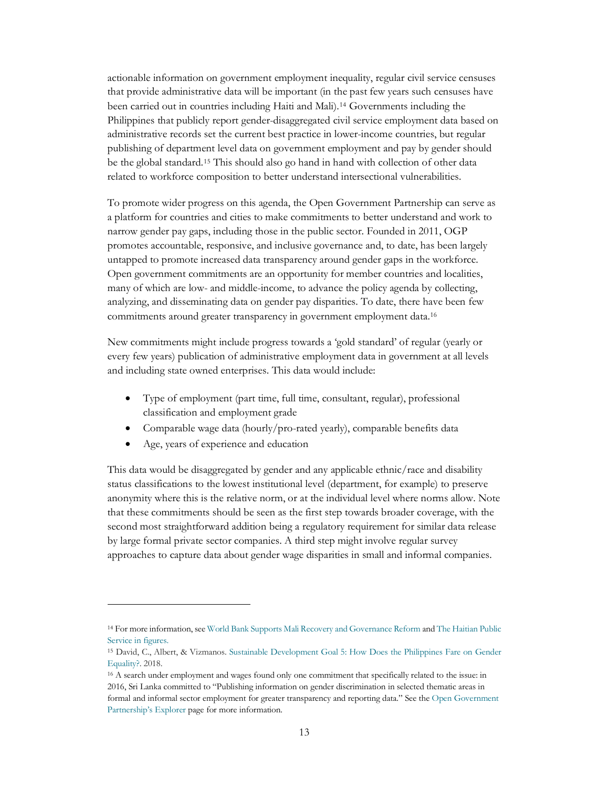actionable information on government employment inequality, regular civil service censuses that provide administrative data will be important (in the past few years such censuses have been carried out in countries including Haiti and Mali).[14](#page-15-0) Governments including the Philippines that publicly report gender-disaggregated civil service employment data based on administrative records set the current best practice in lower-income countries, but regular publishing of department level data on government employment and pay by gender should be the global standard.[15](#page-15-1) This should also go hand in hand with collection of other data related to workforce composition to better understand intersectional vulnerabilities.

To promote wider progress on this agenda, the Open Government Partnership can serve as a platform for countries and cities to make commitments to better understand and work to narrow gender pay gaps, including those in the public sector. Founded in 2011, OGP promotes accountable, responsive, and inclusive governance and, to date, has been largely untapped to promote increased data transparency around gender gaps in the workforce. Open government commitments are an opportunity for member countries and localities, many of which are low- and middle-income, to advance the policy agenda by collecting, analyzing, and disseminating data on gender pay disparities. To date, there have been few commitments around greater transparency in government employment data.[16](#page-15-2)

New commitments might include progress towards a 'gold standard' of regular (yearly or every few years) publication of administrative employment data in government at all levels and including state owned enterprises. This data would include:

- Type of employment (part time, full time, consultant, regular), professional classification and employment grade
- Comparable wage data (hourly/pro-rated yearly), comparable benefits data
- Age, years of experience and education

This data would be disaggregated by gender and any applicable ethnic/race and disability status classifications to the lowest institutional level (department, for example) to preserve anonymity where this is the relative norm, or at the individual level where norms allow. Note that these commitments should be seen as the first step towards broader coverage, with the second most straightforward addition being a regulatory requirement for similar data release by large formal private sector companies. A third step might involve regular survey approaches to capture data about gender wage disparities in small and informal companies.

<span id="page-15-0"></span><sup>14</sup> For more information, se[e World Bank Supports Mali Recovery and Governance Reform](https://reliefweb.int/report/mali/world-bank-supports-mali-recovery-and-governance-reform) an[d The Haitian Public](https://www.haitilibre.com/en/news-15269-haiti-politic-the-haitian-public-service-in-figures.html)  [Service in figures.](https://www.haitilibre.com/en/news-15269-haiti-politic-the-haitian-public-service-in-figures.html)

<span id="page-15-1"></span><sup>15</sup> David, C., Albert, & Vizmanos[. Sustainable Development Goal 5: How Does the Philippines Fare on Gender](https://pidswebs.pids.gov.ph/CDN/PUBLICATIONS/pidsdps1745.pdf)  [Equality?.](https://pidswebs.pids.gov.ph/CDN/PUBLICATIONS/pidsdps1745.pdf) 2018.

<span id="page-15-2"></span><sup>16</sup> A search under employment and wages found only one commitment that specifically related to the issue: in 2016, Sri Lanka committed to "Publishing information on gender discrimination in selected thematic areas in formal and informal sector employment for greater transparency and reporting data." See th[e Open Government](https://www.opengovpartnership.org/explorer/)  [Partnership's Explorer](https://www.opengovpartnership.org/explorer/) page for more information.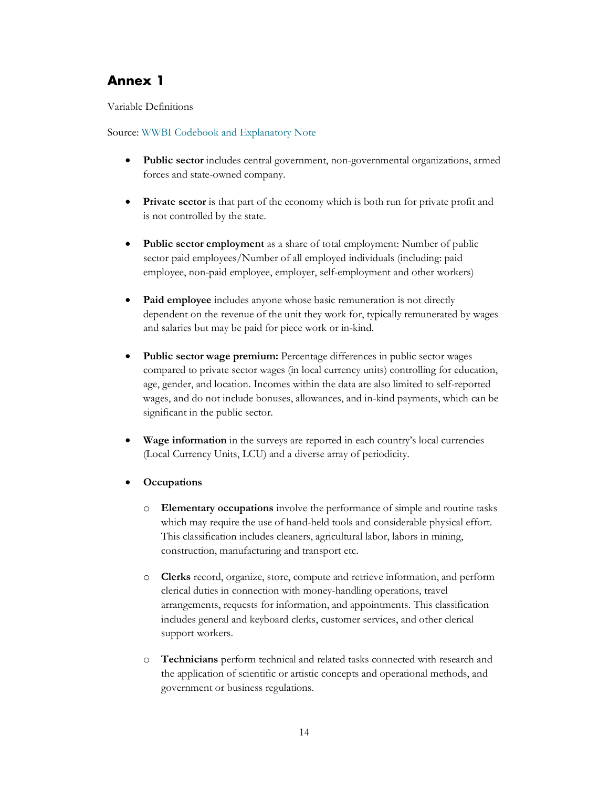## <span id="page-16-0"></span>**Annex 1**

Variable Definitions

#### Source: [WWBI Codebook and Explanatory Note](https://development-data-hub-s3-public.s3.amazonaws.com/ddhfiles/148102/wwbi_explanatory-note-v1-1.pdf)

- **Public sector** includes central government, non-governmental organizations, armed forces and state-owned company.
- **Private sector** is that part of the economy which is both run for private profit and is not controlled by the state.
- **Public sector employment** as a share of total employment: Number of public sector paid employees/Number of all employed individuals (including: paid employee, non-paid employee, employer, self-employment and other workers)
- **Paid employee** includes anyone whose basic remuneration is not directly dependent on the revenue of the unit they work for, typically remunerated by wages and salaries but may be paid for piece work or in-kind.
- **Public sector wage premium:** Percentage differences in public sector wages compared to private sector wages (in local currency units) controlling for education, age, gender, and location. Incomes within the data are also limited to self-reported wages, and do not include bonuses, allowances, and in-kind payments, which can be significant in the public sector.
- **Wage information** in the surveys are reported in each country's local currencies (Local Currency Units, LCU) and a diverse array of periodicity.
- **Occupations**
	- o **Elementary occupations** involve the performance of simple and routine tasks which may require the use of hand-held tools and considerable physical effort. This classification includes cleaners, agricultural labor, labors in mining, construction, manufacturing and transport etc.
	- o **Clerks** record, organize, store, compute and retrieve information, and perform clerical duties in connection with money-handling operations, travel arrangements, requests for information, and appointments. This classification includes general and keyboard clerks, customer services, and other clerical support workers.
	- o **Technicians** perform technical and related tasks connected with research and the application of scientific or artistic concepts and operational methods, and government or business regulations.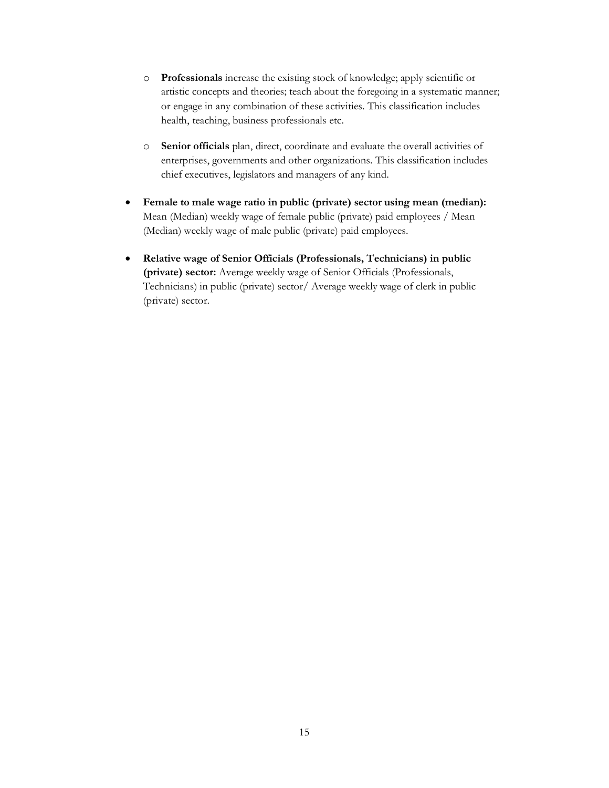- o **Professionals** increase the existing stock of knowledge; apply scientific or artistic concepts and theories; teach about the foregoing in a systematic manner; or engage in any combination of these activities. This classification includes health, teaching, business professionals etc.
- o **Senior officials** plan, direct, coordinate and evaluate the overall activities of enterprises, governments and other organizations. This classification includes chief executives, legislators and managers of any kind.
- **Female to male wage ratio in public (private) sector using mean (median):** Mean (Median) weekly wage of female public (private) paid employees / Mean (Median) weekly wage of male public (private) paid employees.
- **Relative wage of Senior Officials (Professionals, Technicians) in public (private) sector:** Average weekly wage of Senior Officials (Professionals, Technicians) in public (private) sector/ Average weekly wage of clerk in public (private) sector.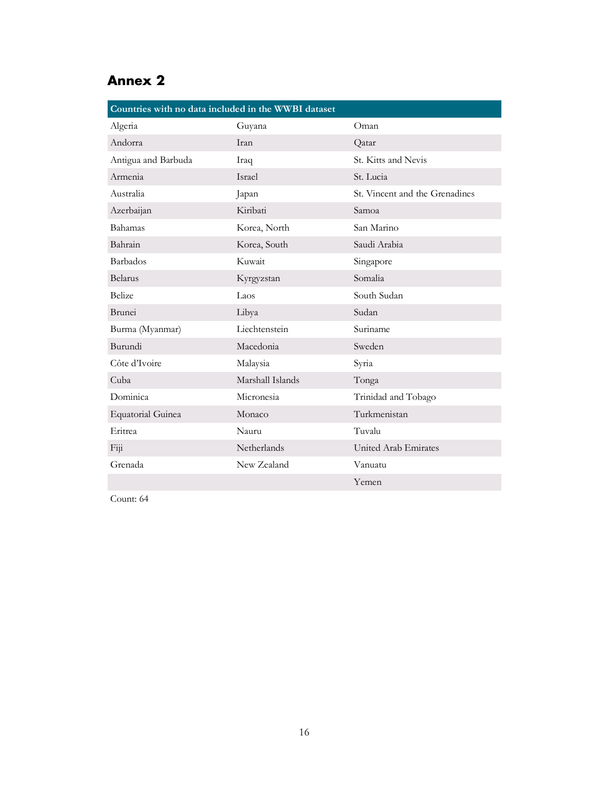## <span id="page-18-0"></span>**Annex 2**

| Countries with no data included in the WWBI dataset |                  |                                |  |  |
|-----------------------------------------------------|------------------|--------------------------------|--|--|
| Algeria                                             | Guyana           | Oman                           |  |  |
| Andorra                                             | <b>Iran</b>      | Qatar                          |  |  |
| Antigua and Barbuda                                 | Iraq             | St. Kitts and Nevis            |  |  |
| Armenia                                             | <b>Israel</b>    | St. Lucia                      |  |  |
| Australia                                           | Japan            | St. Vincent and the Grenadines |  |  |
| Azerbaijan                                          | Kiribati         | Samoa                          |  |  |
| Bahamas                                             | Korea, North     | San Marino                     |  |  |
| Bahrain                                             | Korea, South     | Saudi Arabia                   |  |  |
| <b>Barbados</b>                                     | Kuwait           | Singapore                      |  |  |
| <b>Belarus</b>                                      | Kyrgyzstan       | Somalia                        |  |  |
| <b>Belize</b>                                       | Laos             | South Sudan                    |  |  |
| <b>Brunei</b>                                       | Libya            | Sudan                          |  |  |
| Burma (Myanmar)                                     | Liechtenstein    | Suriname                       |  |  |
| Burundi                                             | Macedonia        | Sweden                         |  |  |
| Côte d'Ivoire                                       | Malaysia         | Syria                          |  |  |
| Cuba                                                | Marshall Islands | Tonga                          |  |  |
| Dominica                                            | Micronesia       | Trinidad and Tobago            |  |  |
| <b>Equatorial Guinea</b>                            | Monaco           | Turkmenistan                   |  |  |
| Eritrea                                             | Nauru            | Tuvalu                         |  |  |
| Fix                                                 | Netherlands      | United Arab Emirates           |  |  |
| Grenada                                             | New Zealand      | Vanuatu                        |  |  |
|                                                     |                  | Yemen                          |  |  |

Count: 64